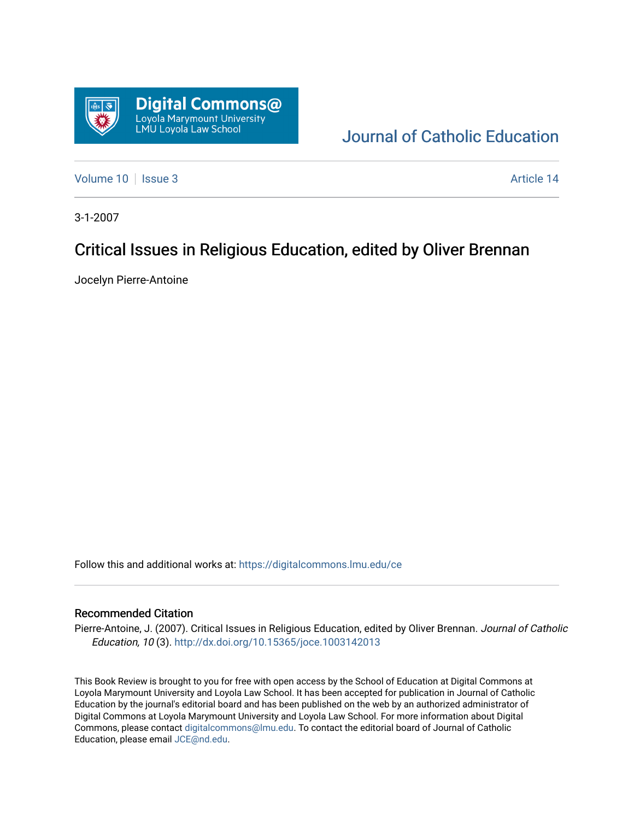

[Journal of Catholic Education](https://digitalcommons.lmu.edu/ce) 

[Volume 10](https://digitalcommons.lmu.edu/ce/vol10) | [Issue 3](https://digitalcommons.lmu.edu/ce/vol10/iss3) Article 14

3-1-2007

# Critical Issues in Religious Education, edited by Oliver Brennan

Jocelyn Pierre-Antoine

Follow this and additional works at: [https://digitalcommons.lmu.edu/ce](https://digitalcommons.lmu.edu/ce?utm_source=digitalcommons.lmu.edu%2Fce%2Fvol10%2Fiss3%2F14&utm_medium=PDF&utm_campaign=PDFCoverPages)

### Recommended Citation

Pierre-Antoine, J. (2007). Critical Issues in Religious Education, edited by Oliver Brennan. Journal of Catholic Education, 10 (3). <http://dx.doi.org/10.15365/joce.1003142013>

This Book Review is brought to you for free with open access by the School of Education at Digital Commons at Loyola Marymount University and Loyola Law School. It has been accepted for publication in Journal of Catholic Education by the journal's editorial board and has been published on the web by an authorized administrator of Digital Commons at Loyola Marymount University and Loyola Law School. For more information about Digital Commons, please contact [digitalcommons@lmu.edu.](mailto:digitalcommons@lmu.edu) To contact the editorial board of Journal of Catholic Education, please email [JCE@nd.edu.](mailto:JCE@nd.edu)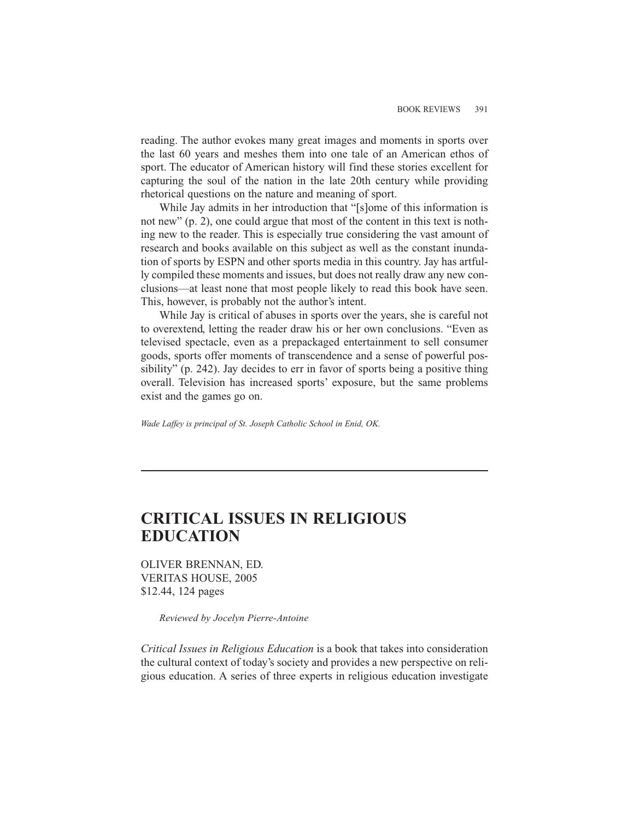reading. The author evokes many great images and moments in sports over the last 60 years and meshes them into one tale of an American ethos of sport. The educator of American history will find these stories excellent for capturing the soul of the nation in the late 20th century while providing rhetorical questions on the nature and meaning of sport.

While Jay admits in her introduction that "[s]ome of this information is not new" (p. 2), one could argue that most of the content in this text is nothing new to the reader. This is especially true considering the vast amount of research and books available on this subject as well as the constant inundation of sports by ESPN and other sports media in this country. Jay has artfully compiled these moments and issues, but does not really draw any new conclusions—at least none that most people likely to read this book have seen. This, however, is probably not the author's intent.

While Jay is critical of abuses in sports over the years, she is careful not to overextend, letting the reader draw his or her own conclusions. "Even as televised spectacle, even as a prepackaged entertainment to sell consumer goods, sports offer moments of transcendence and a sense of powerful possibility" (p. 242). Jay decides to err in favor of sports being a positive thing overall. Television has increased sports' exposure, but the same problems exist and the games go on.

*Wade Laffey is principal of St. Joseph Catholic School in Enid, OK.*

### **CRITICAL ISSUES IN RELIGIOUS EDUCATION**

OLIVER BRENNAN, ED. VERITAS HOUSE, 2005 \$12.44, 124 pages

*Reviewed by Jocelyn Pierre-Antoine*

*Critical Issues in Religious Education* is a book that takes into consideration the cultural context of today's society and provides a new perspective on religious education. A series of three experts in religious education investigate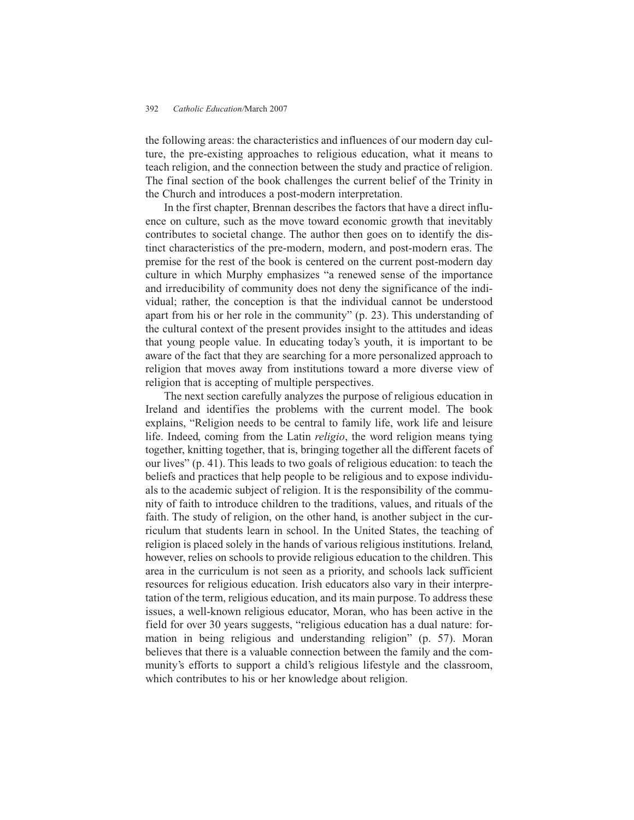#### 392 *Catholic Education/*March 2007

the following areas: the characteristics and influences of our modern day culture, the pre-existing approaches to religious education, what it means to teach religion, and the connection between the study and practice of religion. The final section of the book challenges the current belief of the Trinity in the Church and introduces a post-modern interpretation.

In the first chapter, Brennan describes the factors that have a direct influence on culture, such as the move toward economic growth that inevitably contributes to societal change. The author then goes on to identify the distinct characteristics of the pre-modern, modern, and post-modern eras. The premise for the rest of the book is centered on the current post-modern day culture in which Murphy emphasizes "a renewed sense of the importance and irreducibility of community does not deny the significance of the individual; rather, the conception is that the individual cannot be understood apart from his or her role in the community" (p. 23). This understanding of the cultural context of the present provides insight to the attitudes and ideas that young people value. In educating today's youth, it is important to be aware of the fact that they are searching for a more personalized approach to religion that moves away from institutions toward a more diverse view of religion that is accepting of multiple perspectives.

The next section carefully analyzes the purpose of religious education in Ireland and identifies the problems with the current model. The book explains, "Religion needs to be central to family life, work life and leisure life. Indeed, coming from the Latin *religio*, the word religion means tying together, knitting together, that is, bringing together all the different facets of our lives" (p. 41). This leads to two goals of religious education: to teach the beliefs and practices that help people to be religious and to expose individuals to the academic subject of religion. It is the responsibility of the community of faith to introduce children to the traditions, values, and rituals of the faith. The study of religion, on the other hand, is another subject in the curriculum that students learn in school. In the United States, the teaching of religion is placed solely in the hands of various religious institutions. Ireland, however, relies on schools to provide religious education to the children. This area in the curriculum is not seen as a priority, and schools lack sufficient resources for religious education. Irish educators also vary in their interpretation of the term, religious education, and its main purpose. To address these issues, a well-known religious educator, Moran, who has been active in the field for over 30 years suggests, "religious education has a dual nature: formation in being religious and understanding religion" (p. 57). Moran believes that there is a valuable connection between the family and the community's efforts to support a child's religious lifestyle and the classroom, which contributes to his or her knowledge about religion.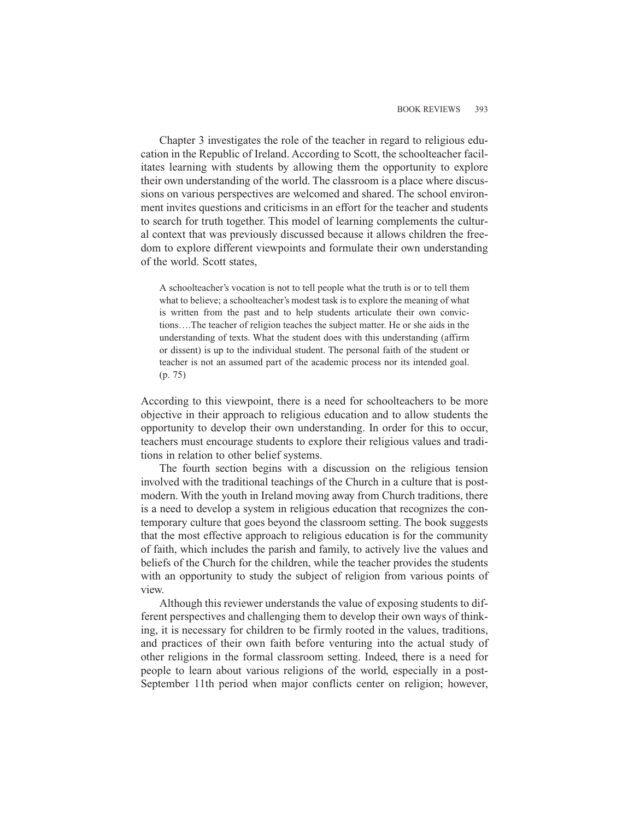Chapter 3 investigates the role of the teacher in regard to religious education in the Republic of Ireland. According to Scott, the schoolteacher facilitates learning with students by allowing them the opportunity to explore their own understanding of the world. The classroom is a place where discussions on various perspectives are welcomed and shared. The school environment invites questions and criticisms in an effort for the teacher and students to search for truth together. This model of learning complements the cultural context that was previously discussed because it allows children the freedom to explore different viewpoints and formulate their own understanding of the world. Scott states,

A schoolteacher's vocation is not to tell people what the truth is or to tell them what to believe; a schoolteacher's modest task is to explore the meaning of what is written from the past and to help students articulate their own convictions….The teacher of religion teaches the subject matter. He or she aids in the understanding of texts. What the student does with this understanding (affirm or dissent) is up to the individual student. The personal faith of the student or teacher is not an assumed part of the academic process nor its intended goal. (p. 75)

According to this viewpoint, there is a need for schoolteachers to be more objective in their approach to religious education and to allow students the opportunity to develop their own understanding. In order for this to occur, teachers must encourage students to explore their religious values and traditions in relation to other belief systems.

The fourth section begins with a discussion on the religious tension involved with the traditional teachings of the Church in a culture that is postmodern. With the youth in Ireland moving away from Church traditions, there is a need to develop a system in religious education that recognizes the contemporary culture that goes beyond the classroom setting. The book suggests that the most effective approach to religious education is for the community of faith, which includes the parish and family, to actively live the values and beliefs of the Church for the children, while the teacher provides the students with an opportunity to study the subject of religion from various points of view.

Although this reviewer understands the value of exposing students to different perspectives and challenging them to develop their own ways of thinking, it is necessary for children to be firmly rooted in the values, traditions, and practices of their own faith before venturing into the actual study of other religions in the formal classroom setting. Indeed, there is a need for people to learn about various religions of the world, especially in a post-September 11th period when major conflicts center on religion; however,